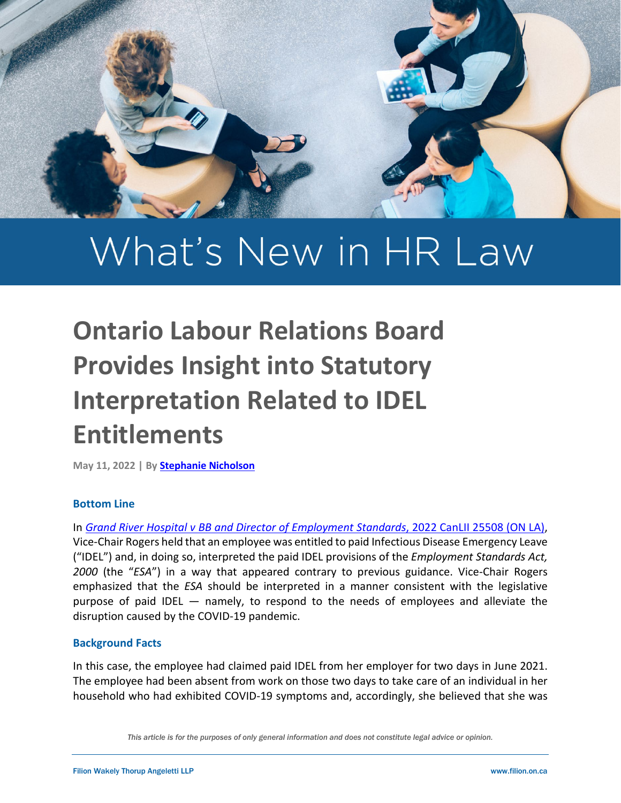

# What's New in HR Law

# **Ontario Labour Relations Board Provides Insight into Statutory Interpretation Related to IDEL Entitlements**

**May 11, 2022 | B[y Stephanie Nicholson](https://filion.on.ca/lawyers/stephanie-nicholson/)**

### **Bottom Line**

In *[Grand River Hospital v BB and Director of Employment Standards](https://www.canlii.org/en/on/onlrb/doc/2022/2022canlii25508/2022canlii25508.html?searchUrlHash=AAAAAQANMDAxMjA1My1DTDAwMAAAAAAB&resultIndex=2)*, 2022 CanLII 25508 (ON LA), Vice-Chair Rogers held that an employee was entitled to paid Infectious Disease Emergency Leave ("IDEL") and, in doing so, interpreted the paid IDEL provisions of the *Employment Standards Act, 2000* (the "*ESA*") in a way that appeared contrary to previous guidance. Vice-Chair Rogers emphasized that the *ESA* should be interpreted in a manner consistent with the legislative purpose of paid IDEL — namely, to respond to the needs of employees and alleviate the disruption caused by the COVID-19 pandemic.

### **Background Facts**

In this case, the employee had claimed paid IDEL from her employer for two days in June 2021. The employee had been absent from work on those two days to take care of an individual in her household who had exhibited COVID-19 symptoms and, accordingly, she believed that she was

*This article is for the purposes of only general information and does not constitute legal advice or opinion.*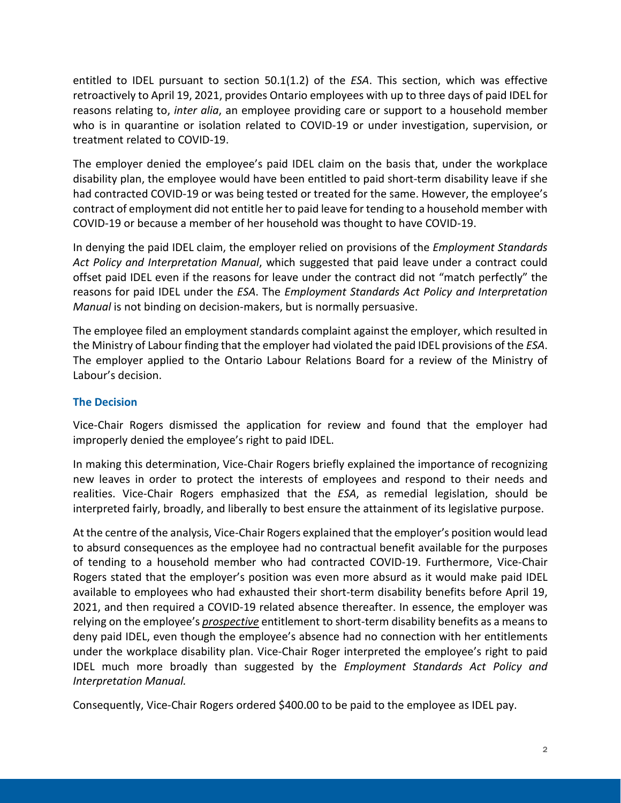entitled to IDEL pursuant to section 50.1(1.2) of the *ESA*. This section, which was effective retroactively to April 19, 2021, provides Ontario employees with up to three days of paid IDEL for reasons relating to, *inter alia*, an employee providing care or support to a household member who is in quarantine or isolation related to COVID-19 or under investigation, supervision, or treatment related to COVID-19.

The employer denied the employee's paid IDEL claim on the basis that, under the workplace disability plan, the employee would have been entitled to paid short-term disability leave if she had contracted COVID-19 or was being tested or treated for the same. However, the employee's contract of employment did not entitle her to paid leave for tending to a household member with COVID-19 or because a member of her household was thought to have COVID-19.

In denying the paid IDEL claim, the employer relied on provisions of the *Employment Standards Act Policy and Interpretation Manual*, which suggested that paid leave under a contract could offset paid IDEL even if the reasons for leave under the contract did not "match perfectly" the reasons for paid IDEL under the *ESA*. The *Employment Standards Act Policy and Interpretation Manual* is not binding on decision-makers, but is normally persuasive.

The employee filed an employment standards complaint against the employer, which resulted in the Ministry of Labour finding that the employer had violated the paid IDEL provisions of the *ESA*. The employer applied to the Ontario Labour Relations Board for a review of the Ministry of Labour's decision.

## **The Decision**

Vice-Chair Rogers dismissed the application for review and found that the employer had improperly denied the employee's right to paid IDEL.

In making this determination, Vice-Chair Rogers briefly explained the importance of recognizing new leaves in order to protect the interests of employees and respond to their needs and realities. Vice-Chair Rogers emphasized that the *ESA*, as remedial legislation, should be interpreted fairly, broadly, and liberally to best ensure the attainment of its legislative purpose.

At the centre of the analysis, Vice-Chair Rogers explained that the employer's position would lead to absurd consequences as the employee had no contractual benefit available for the purposes of tending to a household member who had contracted COVID-19. Furthermore, Vice-Chair Rogers stated that the employer's position was even more absurd as it would make paid IDEL available to employees who had exhausted their short-term disability benefits before April 19, 2021, and then required a COVID-19 related absence thereafter. In essence, the employer was relying on the employee's *prospective* entitlement to short-term disability benefits as a means to deny paid IDEL, even though the employee's absence had no connection with her entitlements under the workplace disability plan. Vice-Chair Roger interpreted the employee's right to paid IDEL much more broadly than suggested by the *Employment Standards Act Policy and Interpretation Manual.*

Consequently, Vice-Chair Rogers ordered \$400.00 to be paid to the employee as IDEL pay.